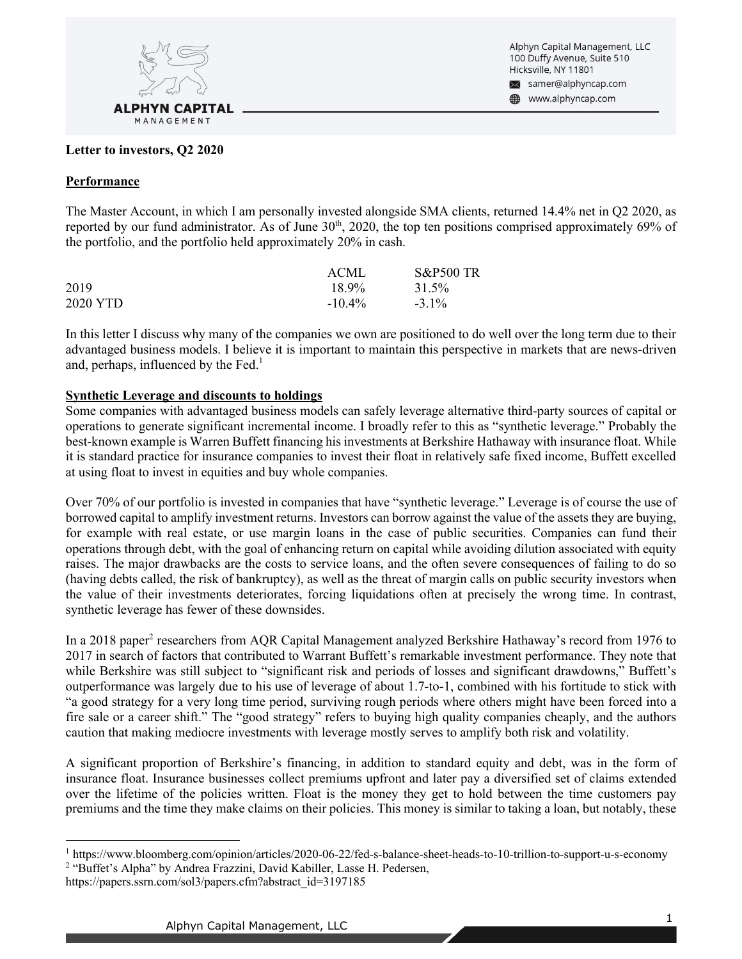

Alphyn Capital Management, LLC 100 Duffy Avenue, Suite 510 Hicksville, NY 11801 ᢂ samer@alphyncap.com

www.alphyncap.com

#### **Letter to investors, Q2 2020**

#### **Performance**

The Master Account, in which I am personally invested alongside SMA clients, returned 14.4% net in Q2 2020, as reported by our fund administrator. As of June  $30<sup>th</sup>$ , 2020, the top ten positions comprised approximately 69% of the portfolio, and the portfolio held approximately 20% in cash.

|          | ACML      | <b>S&amp;P500 TR</b> |
|----------|-----------|----------------------|
| 2019     | 18.9%     | 31.5%                |
| 2020 YTD | $-10.4\%$ | $-3.1\%$             |

In this letter I discuss why many of the companies we own are positioned to do well over the long term due to their advantaged business models. I believe it is important to maintain this perspective in markets that are news-driven and, perhaps, influenced by the Fed.<sup>1</sup>

### **Synthetic Leverage and discounts to holdings**

Some companies with advantaged business models can safely leverage alternative third-party sources of capital or operations to generate significant incremental income. I broadly refer to this as "synthetic leverage." Probably the best-known example is Warren Buffett financing his investments at Berkshire Hathaway with insurance float. While it is standard practice for insurance companies to invest their float in relatively safe fixed income, Buffett excelled at using float to invest in equities and buy whole companies.

Over 70% of our portfolio is invested in companies that have "synthetic leverage." Leverage is of course the use of borrowed capital to amplify investment returns. Investors can borrow against the value of the assets they are buying, for example with real estate, or use margin loans in the case of public securities. Companies can fund their operations through debt, with the goal of enhancing return on capital while avoiding dilution associated with equity raises. The major drawbacks are the costs to service loans, and the often severe consequences of failing to do so (having debts called, the risk of bankruptcy), as well as the threat of margin calls on public security investors when the value of their investments deteriorates, forcing liquidations often at precisely the wrong time. In contrast, synthetic leverage has fewer of these downsides.

In a 2018 paper<sup>2</sup> researchers from AQR Capital Management analyzed Berkshire Hathaway's record from 1976 to 2017 in search of factors that contributed to Warrant Buffett's remarkable investment performance. They note that while Berkshire was still subject to "significant risk and periods of losses and significant drawdowns," Buffett's outperformance was largely due to his use of leverage of about 1.7-to-1, combined with his fortitude to stick with "a good strategy for a very long time period, surviving rough periods where others might have been forced into a fire sale or a career shift." The "good strategy" refers to buying high quality companies cheaply, and the authors caution that making mediocre investments with leverage mostly serves to amplify both risk and volatility.

A significant proportion of Berkshire's financing, in addition to standard equity and debt, was in the form of insurance float. Insurance businesses collect premiums upfront and later pay a diversified set of claims extended over the lifetime of the policies written. Float is the money they get to hold between the time customers pay premiums and the time they make claims on their policies. This money is similar to taking a loan, but notably, these

<sup>2</sup> "Buffet's Alpha" by Andrea Frazzini, David Kabiller, Lasse H. Pedersen,

<sup>1</sup> https://www.bloomberg.com/opinion/articles/2020-06-22/fed-s-balance-sheet-heads-to-10-trillion-to-support-u-s-economy

https://papers.ssrn.com/sol3/papers.cfm?abstract\_id=3197185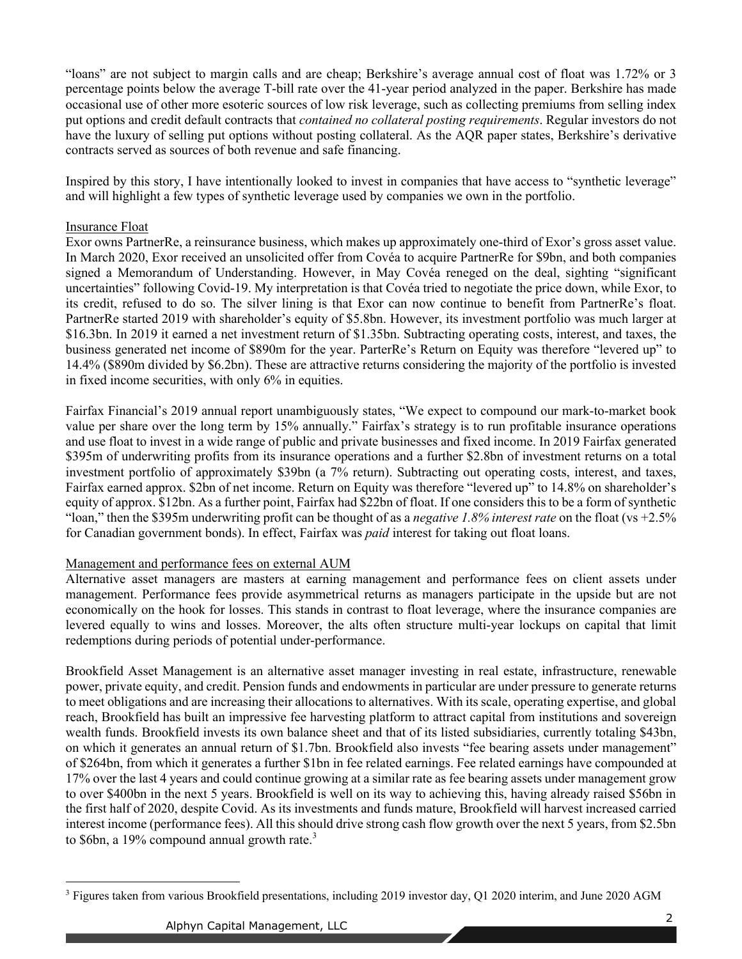"loans" are not subject to margin calls and are cheap; Berkshire's average annual cost of float was 1.72% or 3 percentage points below the average T-bill rate over the 41-year period analyzed in the paper. Berkshire has made occasional use of other more esoteric sources of low risk leverage, such as collecting premiums from selling index put options and credit default contracts that *contained no collateral posting requirements*. Regular investors do not have the luxury of selling put options without posting collateral. As the AQR paper states, Berkshire's derivative contracts served as sources of both revenue and safe financing.

Inspired by this story, I have intentionally looked to invest in companies that have access to "synthetic leverage" and will highlight a few types of synthetic leverage used by companies we own in the portfolio.

### Insurance Float

Exor owns PartnerRe, a reinsurance business, which makes up approximately one-third of Exor's gross asset value. In March 2020, Exor received an unsolicited offer from Covéa to acquire PartnerRe for \$9bn, and both companies signed a Memorandum of Understanding. However, in May Covéa reneged on the deal, sighting "significant uncertainties" following Covid-19. My interpretation is that Covéa tried to negotiate the price down, while Exor, to its credit, refused to do so. The silver lining is that Exor can now continue to benefit from PartnerRe's float. PartnerRe started 2019 with shareholder's equity of \$5.8bn. However, its investment portfolio was much larger at \$16.3bn. In 2019 it earned a net investment return of \$1.35bn. Subtracting operating costs, interest, and taxes, the business generated net income of \$890m for the year. ParterRe's Return on Equity was therefore "levered up" to 14.4% (\$890m divided by \$6.2bn). These are attractive returns considering the majority of the portfolio is invested in fixed income securities, with only 6% in equities.

Fairfax Financial's 2019 annual report unambiguously states, "We expect to compound our mark-to-market book value per share over the long term by 15% annually." Fairfax's strategy is to run profitable insurance operations and use float to invest in a wide range of public and private businesses and fixed income. In 2019 Fairfax generated \$395m of underwriting profits from its insurance operations and a further \$2.8bn of investment returns on a total investment portfolio of approximately \$39bn (a 7% return). Subtracting out operating costs, interest, and taxes, Fairfax earned approx. \$2bn of net income. Return on Equity was therefore "levered up" to 14.8% on shareholder's equity of approx. \$12bn. As a further point, Fairfax had \$22bn of float. If one considers this to be a form of synthetic "loan," then the \$395m underwriting profit can be thought of as a *negative 1.8% interest rate* on the float (vs +2.5% for Canadian government bonds). In effect, Fairfax was *paid* interest for taking out float loans.

# Management and performance fees on external AUM

Alternative asset managers are masters at earning management and performance fees on client assets under management. Performance fees provide asymmetrical returns as managers participate in the upside but are not economically on the hook for losses. This stands in contrast to float leverage, where the insurance companies are levered equally to wins and losses. Moreover, the alts often structure multi-year lockups on capital that limit redemptions during periods of potential under-performance.

Brookfield Asset Management is an alternative asset manager investing in real estate, infrastructure, renewable power, private equity, and credit. Pension funds and endowments in particular are under pressure to generate returns to meet obligations and are increasing their allocations to alternatives. With its scale, operating expertise, and global reach, Brookfield has built an impressive fee harvesting platform to attract capital from institutions and sovereign wealth funds. Brookfield invests its own balance sheet and that of its listed subsidiaries, currently totaling \$43bn, on which it generates an annual return of \$1.7bn. Brookfield also invests "fee bearing assets under management" of \$264bn, from which it generates a further \$1bn in fee related earnings. Fee related earnings have compounded at 17% over the last 4 years and could continue growing at a similar rate as fee bearing assets under management grow to over \$400bn in the next 5 years. Brookfield is well on its way to achieving this, having already raised \$56bn in the first half of 2020, despite Covid. As its investments and funds mature, Brookfield will harvest increased carried interest income (performance fees). All this should drive strong cash flow growth over the next 5 years, from \$2.5bn to \$6bn, a 19% compound annual growth rate.<sup>3</sup>

<sup>&</sup>lt;sup>3</sup> Figures taken from various Brookfield presentations, including 2019 investor day, Q1 2020 interim, and June 2020 AGM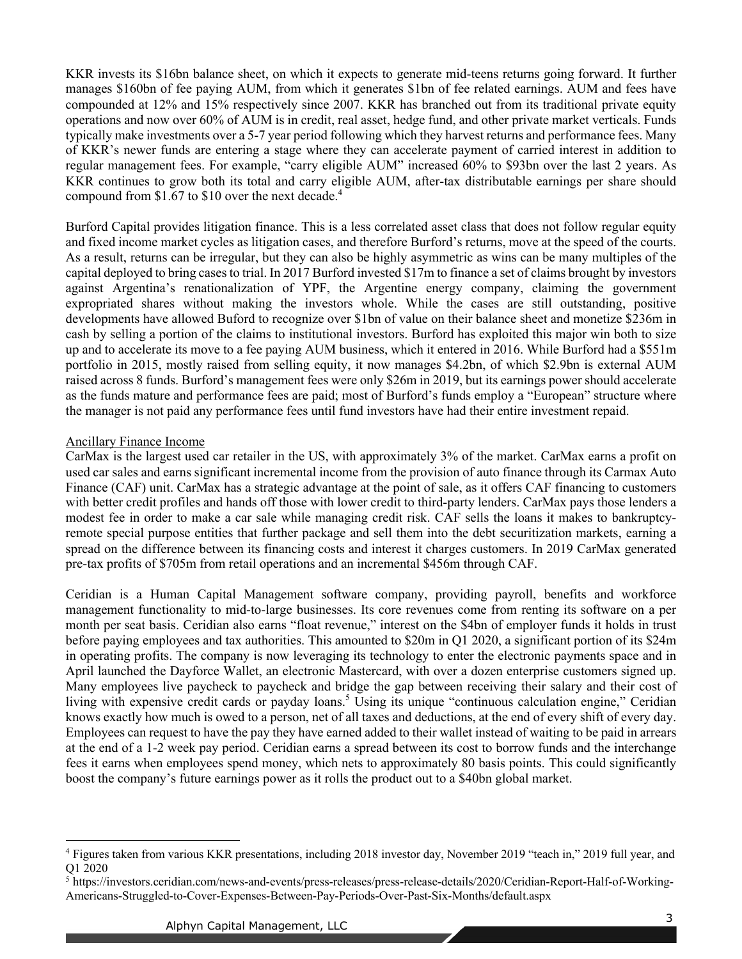KKR invests its \$16bn balance sheet, on which it expects to generate mid-teens returns going forward. It further manages \$160bn of fee paying AUM, from which it generates \$1bn of fee related earnings. AUM and fees have compounded at 12% and 15% respectively since 2007. KKR has branched out from its traditional private equity operations and now over 60% of AUM is in credit, real asset, hedge fund, and other private market verticals. Funds typically make investments over a 5-7 year period following which they harvest returns and performance fees. Many of KKR's newer funds are entering a stage where they can accelerate payment of carried interest in addition to regular management fees. For example, "carry eligible AUM" increased 60% to \$93bn over the last 2 years. As KKR continues to grow both its total and carry eligible AUM, after-tax distributable earnings per share should compound from \$1.67 to \$10 over the next decade. 4

Burford Capital provides litigation finance. This is a less correlated asset class that does not follow regular equity and fixed income market cycles as litigation cases, and therefore Burford's returns, move at the speed of the courts. As a result, returns can be irregular, but they can also be highly asymmetric as wins can be many multiples of the capital deployed to bring cases to trial. In 2017 Burford invested \$17m to finance a set of claims brought by investors against Argentina's renationalization of YPF, the Argentine energy company, claiming the government expropriated shares without making the investors whole. While the cases are still outstanding, positive developments have allowed Buford to recognize over \$1bn of value on their balance sheet and monetize \$236m in cash by selling a portion of the claims to institutional investors. Burford has exploited this major win both to size up and to accelerate its move to a fee paying AUM business, which it entered in 2016. While Burford had a \$551m portfolio in 2015, mostly raised from selling equity, it now manages \$4.2bn, of which \$2.9bn is external AUM raised across 8 funds. Burford's management fees were only \$26m in 2019, but its earnings power should accelerate as the funds mature and performance fees are paid; most of Burford's funds employ a "European" structure where the manager is not paid any performance fees until fund investors have had their entire investment repaid.

# Ancillary Finance Income

CarMax is the largest used car retailer in the US, with approximately 3% of the market. CarMax earns a profit on used car sales and earns significant incremental income from the provision of auto finance through its Carmax Auto Finance (CAF) unit. CarMax has a strategic advantage at the point of sale, as it offers CAF financing to customers with better credit profiles and hands off those with lower credit to third-party lenders. CarMax pays those lenders a modest fee in order to make a car sale while managing credit risk. CAF sells the loans it makes to bankruptcyremote special purpose entities that further package and sell them into the debt securitization markets, earning a spread on the difference between its financing costs and interest it charges customers. In 2019 CarMax generated pre-tax profits of \$705m from retail operations and an incremental \$456m through CAF.

Ceridian is a Human Capital Management software company, providing payroll, benefits and workforce management functionality to mid-to-large businesses. Its core revenues come from renting its software on a per month per seat basis. Ceridian also earns "float revenue," interest on the \$4bn of employer funds it holds in trust before paying employees and tax authorities. This amounted to \$20m in Q1 2020, a significant portion of its \$24m in operating profits. The company is now leveraging its technology to enter the electronic payments space and in April launched the Dayforce Wallet, an electronic Mastercard, with over a dozen enterprise customers signed up. Many employees live paycheck to paycheck and bridge the gap between receiving their salary and their cost of living with expensive credit cards or payday loans.<sup>5</sup> Using its unique "continuous calculation engine," Ceridian knows exactly how much is owed to a person, net of all taxes and deductions, at the end of every shift of every day. Employees can request to have the pay they have earned added to their wallet instead of waiting to be paid in arrears at the end of a 1-2 week pay period. Ceridian earns a spread between its cost to borrow funds and the interchange fees it earns when employees spend money, which nets to approximately 80 basis points. This could significantly boost the company's future earnings power as it rolls the product out to a \$40bn global market.

<sup>4</sup> Figures taken from various KKR presentations, including 2018 investor day, November 2019 "teach in," 2019 full year, and Q1 2020

<sup>5</sup> https://investors.ceridian.com/news-and-events/press-releases/press-release-details/2020/Ceridian-Report-Half-of-Working-Americans-Struggled-to-Cover-Expenses-Between-Pay-Periods-Over-Past-Six-Months/default.aspx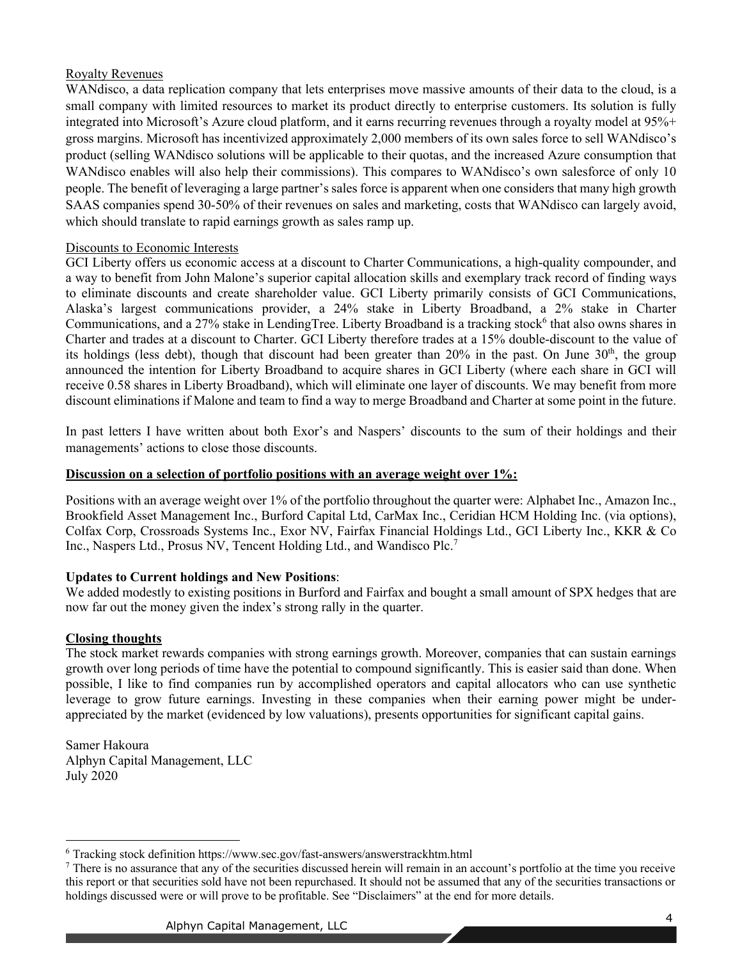# Royalty Revenues

WANdisco, a data replication company that lets enterprises move massive amounts of their data to the cloud, is a small company with limited resources to market its product directly to enterprise customers. Its solution is fully integrated into Microsoft's Azure cloud platform, and it earns recurring revenues through a royalty model at 95%+ gross margins. Microsoft has incentivized approximately 2,000 members of its own sales force to sell WANdisco's product (selling WANdisco solutions will be applicable to their quotas, and the increased Azure consumption that WANdisco enables will also help their commissions). This compares to WANdisco's own salesforce of only 10 people. The benefit of leveraging a large partner's sales force is apparent when one considers that many high growth SAAS companies spend 30-50% of their revenues on sales and marketing, costs that WANdisco can largely avoid, which should translate to rapid earnings growth as sales ramp up.

# Discounts to Economic Interests

GCI Liberty offers us economic access at a discount to Charter Communications, a high-quality compounder, and a way to benefit from John Malone's superior capital allocation skills and exemplary track record of finding ways to eliminate discounts and create shareholder value. GCI Liberty primarily consists of GCI Communications, Alaska's largest communications provider, a 24% stake in Liberty Broadband, a 2% stake in Charter Communications, and a 27% stake in LendingTree. Liberty Broadband is a tracking stock<sup>6</sup> that also owns shares in Charter and trades at a discount to Charter. GCI Liberty therefore trades at a 15% double-discount to the value of its holdings (less debt), though that discount had been greater than  $20\%$  in the past. On June  $30<sup>th</sup>$ , the group announced the intention for Liberty Broadband to acquire shares in GCI Liberty (where each share in GCI will receive 0.58 shares in Liberty Broadband), which will eliminate one layer of discounts. We may benefit from more discount eliminations if Malone and team to find a way to merge Broadband and Charter at some point in the future.

In past letters I have written about both Exor's and Naspers' discounts to the sum of their holdings and their managements' actions to close those discounts.

# **Discussion on a selection of portfolio positions with an average weight over 1%:**

Positions with an average weight over 1% of the portfolio throughout the quarter were: Alphabet Inc., Amazon Inc., Brookfield Asset Management Inc., Burford Capital Ltd, CarMax Inc., Ceridian HCM Holding Inc. (via options), Colfax Corp, Crossroads Systems Inc., Exor NV, Fairfax Financial Holdings Ltd., GCI Liberty Inc., KKR & Co Inc., Naspers Ltd., Prosus NV, Tencent Holding Ltd., and Wandisco Plc.<sup>7</sup>

# **Updates to Current holdings and New Positions**:

We added modestly to existing positions in Burford and Fairfax and bought a small amount of SPX hedges that are now far out the money given the index's strong rally in the quarter.

# **Closing thoughts**

The stock market rewards companies with strong earnings growth. Moreover, companies that can sustain earnings growth over long periods of time have the potential to compound significantly. This is easier said than done. When possible, I like to find companies run by accomplished operators and capital allocators who can use synthetic leverage to grow future earnings. Investing in these companies when their earning power might be underappreciated by the market (evidenced by low valuations), presents opportunities for significant capital gains.

Samer Hakoura Alphyn Capital Management, LLC July 2020

<sup>6</sup> Tracking stock definition https://www.sec.gov/fast-answers/answerstrackhtm.html

 $<sup>7</sup>$  There is no assurance that any of the securities discussed herein will remain in an account's portfolio at the time you receive</sup> this report or that securities sold have not been repurchased. It should not be assumed that any of the securities transactions or holdings discussed were or will prove to be profitable. See "Disclaimers" at the end for more details.